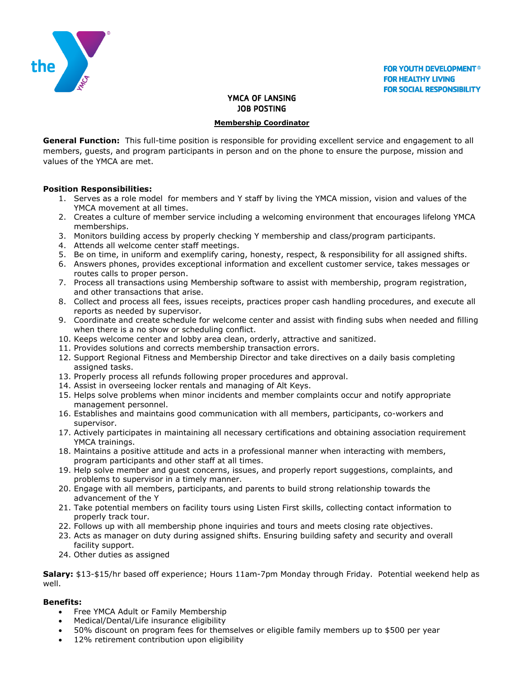

# YMCA OF LANSING JOB POSTING

#### **Membership Coordinator**

**General Function:** This full-time position is responsible for providing excellent service and engagement to all members, guests, and program participants in person and on the phone to ensure the purpose, mission and values of the YMCA are met.

### **Position Responsibilities:**

- 1. Serves as a role model for members and Y staff by living the YMCA mission, vision and values of the YMCA movement at all times.
- 2. Creates a culture of member service including a welcoming environment that encourages lifelong YMCA memberships.
- 3. Monitors building access by properly checking Y membership and class/program participants.
- 4. Attends all welcome center staff meetings.
- 5. Be on time, in uniform and exemplify caring, honesty, respect, & responsibility for all assigned shifts.
- 6. Answers phones, provides exceptional information and excellent customer service, takes messages or routes calls to proper person.
- 7. Process all transactions using Membership software to assist with membership, program registration, and other transactions that arise.
- 8. Collect and process all fees, issues receipts, practices proper cash handling procedures, and execute all reports as needed by supervisor.
- 9. Coordinate and create schedule for welcome center and assist with finding subs when needed and filling when there is a no show or scheduling conflict.
- 10. Keeps welcome center and lobby area clean, orderly, attractive and sanitized.
- 11. Provides solutions and corrects membership transaction errors.
- 12. Support Regional Fitness and Membership Director and take directives on a daily basis completing assigned tasks.
- 13. Properly process all refunds following proper procedures and approval.
- 14. Assist in overseeing locker rentals and managing of Alt Keys.
- 15. Helps solve problems when minor incidents and member complaints occur and notify appropriate management personnel.
- 16. Establishes and maintains good communication with all members, participants, co-workers and supervisor.
- 17. Actively participates in maintaining all necessary certifications and obtaining association requirement YMCA trainings.
- 18. Maintains a positive attitude and acts in a professional manner when interacting with members, program participants and other staff at all times.
- 19. Help solve member and guest concerns, issues, and properly report suggestions, complaints, and problems to supervisor in a timely manner.
- 20. Engage with all members, participants, and parents to build strong relationship towards the advancement of the Y
- 21. Take potential members on facility tours using Listen First skills, collecting contact information to properly track tour.
- 22. Follows up with all membership phone inquiries and tours and meets closing rate objectives.
- 23. Acts as manager on duty during assigned shifts. Ensuring building safety and security and overall facility support.
- 24. Other duties as assigned

**Salary:** \$13-\$15/hr based off experience; Hours 11am-7pm Monday through Friday. Potential weekend help as well.

### **Benefits:**

- Free YMCA Adult or Family Membership
- Medical/Dental/Life insurance eligibility
- 50% discount on program fees for themselves or eligible family members up to \$500 per year
- 12% retirement contribution upon eligibility